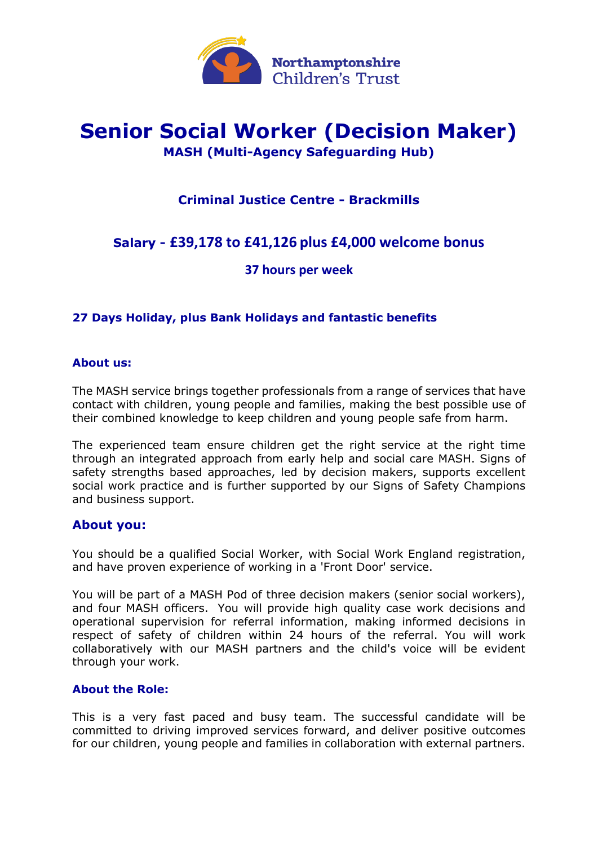

# **Senior Social Worker (Decision Maker) MASH (Multi-Agency Safeguarding Hub)**

# **Criminal Justice Centre - Brackmills**

# **Salary - £39,178 to £41,126 plus £4,000 welcome bonus**

## **37 hours per week**

### **27 Days Holiday, plus Bank Holidays and fantastic benefits**

#### **About us:**

The MASH service brings together professionals from a range of services that have contact with children, young people and families, making the best possible use of their combined knowledge to keep children and young people safe from harm.

The experienced team ensure children get the right service at the right time through an integrated approach from early help and social care MASH. Signs of safety strengths based approaches, led by decision makers, supports excellent social work practice and is further supported by our Signs of Safety Champions and business support.

#### **About you:**

You should be a qualified Social Worker, with Social Work England registration, and have proven experience of working in a 'Front Door' service.

You will be part of a MASH Pod of three decision makers (senior social workers), and four MASH officers. You will provide high quality case work decisions and operational supervision for referral information, making informed decisions in respect of safety of children within 24 hours of the referral. You will work collaboratively with our MASH partners and the child's voice will be evident through your work.

#### **About the Role:**

This is a very fast paced and busy team. The successful candidate will be committed to driving improved services forward, and deliver positive outcomes for our children, young people and families in collaboration with external partners.